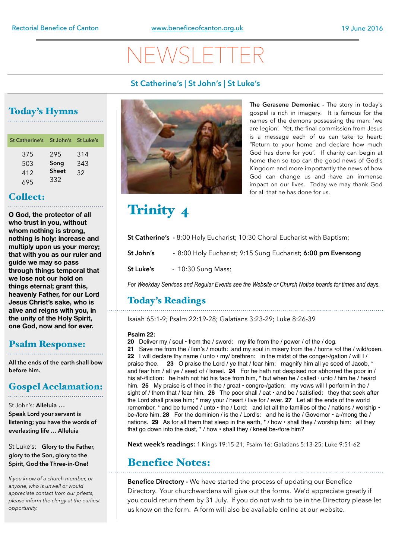# NEWSI

#### **St Catherine's | St John's | St Luke's**

## Today's Hymns

| St Catherine's St John's St Luke's |              |     |
|------------------------------------|--------------|-----|
| 375                                | 295          | 314 |
| 503                                | Song         | 343 |
| 412                                | <b>Sheet</b> | 32  |
| 695                                | 332          |     |

#### Collect:

**O God, the protector of all who trust in you, without whom nothing is strong, nothing is holy: increase and multiply upon us your mercy; that with you as our ruler and guide we may so pass through things temporal that we lose not our hold on things eternal; grant this, heavenly Father, for our Lord Jesus Christ's sake, who is alive and reigns with you, in the unity of the Holy Spirit, one God, now and for ever.**

#### Psalm Response:

**All the ends of the earth shall bow before him.** 

## Gospel Acclamation:

#### St John's: **Alleluia …**

**Speak Lord your servant is listening; you have the words of everlasting life … Alleluia** 

St Luke's: **Glory to the Father, glory to the Son, glory to the Spirit, God the Three-in-One!**

*If you know of a church member, or anyone, who is unwell or would appreciate contact from our priests, please inform the clergy at the earliest opportunity.* 



**The Gerasene Demoniac -** The story in today's gospel is rich in imagery. It is famous for the names of the demons possessing the man: 'we are legion'. Yet, the final commission from Jesus is a message each of us can take to heart: "Return to your home and declare how much God has done for you". If charity can begin at home then so too can the good news of God's Kingdom and more importantly the news of how God can change us and have an immense impact on our lives. Today we may thank God for all that he has done for us.

## Trinity 4

|  | St Catherine's - 8:00 Holy Eucharist; 10:30 Choral Eucharist with Baptism; |  |
|--|----------------------------------------------------------------------------|--|
|  |                                                                            |  |

- **St John's** 8:00 Holy Eucharist; 9:15 Sung Eucharist; **6:00 pm Evensong**
- **St Luke's**  10:30 Sung Mass;

*For Weekday Services and Regular Events see the Website or Church Notice boards for times and days.* 

### Today's Readings

Isaiah 65:1-9; Psalm 22:19-28; Galatians 3:23-29; Luke 8:26-39

#### **Psalm 22:**

20 Deliver my / soul  $\cdot$  from the / sword: my life from the / power / of the / dog.

**21** Save me from the / lion's / mouth: and my soul in misery from the / horns •of the / wild/oxen. **22** I will declare thy name / unto • my/ brethren: in the midst of the conger-/gation / will I / praise thee. **23** O praise the Lord / ye that / fear him: magnify him all ye seed of Jacob, \* and fear him / all ye / seed of / Israel. 24 For he hath not despised nor abhorred the poor in / his af-/fliction: he hath not hid his face from him, \* but when he / called  $\cdot$  unto / him he / heard him. **25** My praise is of thee in the / great • congre-/gation: my vows will I perform in the / sight of / them that / fear him. **26** The poor shall / eat  $\cdot$  and be / satisfied: they that seek after the Lord shall praise him; \* may your / heart / live for / ever. **27** Let all the ends of the world remember,  $*$  and be turned / unto  $*$  the / Lord: and let all the families of the / nations / worship  $*$ be-/fore him. **28** For the dominion / is the / Lord's: and he is the / Governor  $\cdot$  a-/mong the / nations. **29** As for all them that sleep in the earth,  $*$  / how  $\cdot$  shall they / worship him: all they that go down into the dust, \* / how • shall they / kneel be-/fore him?

**Next week's readings:** 1 Kings 19:15-21; Psalm 16: Galatians 5:13-25; Luke 9:51-62

### Benefice Notes:

**Benefice Directory -** We have started the process of updating our Benefice Directory. Your churchwardens will give out the forms. We'd appreciate greatly if you could return them by 31 July. If you do not wish to be in the Directory please let us know on the form. A form will also be available online at our website.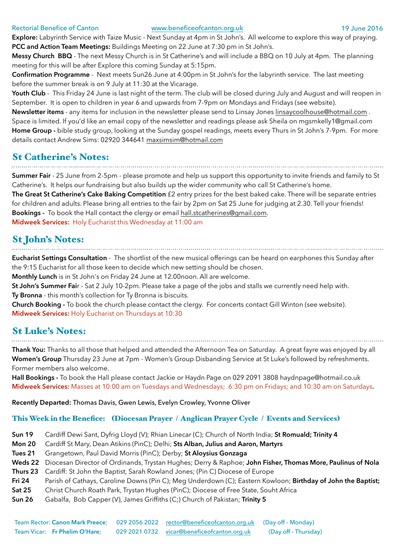**Explore:** Labyrinth Service with Taize Music - Next Sunday at 4pm in St John's. All welcome to explore this way of praying. **PCC and Action Team Meetings:** Buildings Meeting on 22 June at 7:30 pm in St John's.

**Messy Church BBQ** - The next Messy Church is in St Catherine's and will include a BBQ on 10 July at 4pm. The planning meeting for this will be after Explore this coming Sunday at 5:15pm.

**Confirmation Programme** - Next meets Sun26 June at 4:00pm in St John's for the labyrinth service. The last meeting before the summer break is on 9 July at 11:30 at the Vicarage.

Youth Club - This Friday 24 June is last night of the term. The club will be closed during July and August and will reopen in September. It is open to children in year 6 and upwards from 7-9pm on Mondays and Fridays (see website).

**Newsletter items** - any items for inclusion in the newsletter please send to Linsay Jones [linsaycoolhouse@hotmail.com](mailto:linsaycoolhouse@hotmail.com) . Space is limited. If you'd like an email copy of the newsletter and readings please ask Sheila on [mgsmkelly1@gmail.com](mailto:mgsmkelly1@gmail.com)  **Home Group -** bible study group, looking at the Sunday gospel readings, meets every Thurs in St John's 7-9pm. For more details contact Andrew Sims: 02920 344641 [maxsimsim@hotmail.com](mailto:maxsimsim@hotmail.com) 

#### St Catherine's Notes:

**Summer Fair** - 25 June from 2-5pm - please promote and help us support this opportunity to invite friends and family to St Catherine's. It helps our fundraising but also builds up the wider community who call St Catherine's home. **The Great St Catherine's Cake Baking Competition** £2 entry prizes for the best baked cake. There will be separate entries for children and adults. Please bring all entries to the fair by 2pm on Sat 25 June for judging at 2.30. Tell your friends!

**Bookings -** To book the Hall contact the clergy or email [hall.stcatherines@gmail.com.](mailto:hall.stcatherines@gmail.com)

**Midweek Services:** Holy Eucharist this Wednesday at 11:00 am

#### St John's Notes:

**Eucharist Settings Consultation** - The shortlist of the new musical offerings can be heard on earphones this Sunday after the 9:15 Eucharist for all those keen to decide which new setting should be chosen.

**Monthly Lunch** is in St John's on Friday 24 June at 12.00noon. All are welcome.

**St John's Summer Fai**r - Sat 2 July 10-2pm. Please take a page of the jobs and stalls we currently need help with. **Ty Bronna** - this month's collection for Ty Bronna is biscuits.

**Church Booking -** To book the church please contact the clergy. For concerts contact Gill Winton (see website). **Midweek Services:** Holy Eucharist on Thursdays at 10:30

## St Luke's Notes:

**Thank You:** Thanks to all those that helped and attended the Afternoon Tea on Saturday. A great fayre was enjoyed by all **Women's Group** Thursday 23 June at 7pm - Women's Group Disbanding Service at St Luke's followed by refreshments. Former members also welcome.

**Hall Bookings -** To book the Hall please contact Jackie or Haydn Page on 029 2091 3808 [haydnpage@hotmail.co.uk](mailto:haydnpage@hotmail.co.uk) **Midweek Services:** Masses at 10:00 am on Tuesdays and Wednesdays; 6:30 pm on Fridays; and 10:30 am on Saturdays**.**

#### **Recently Departed:** Thomas Davis, Gwen Lewis, Evelyn Crowley, Yvonne Oliver

#### This Week in the Benefice: (Diocesan Prayer / Anglican Prayer Cycle / Events and Services)

- **Sun 19** Cardiff Dewi Sant, Dyfrig Lloyd (V); Rhian Linecar (C); Church of North India; **St Romuald; Trinity 4**
- **Mon 20** Cardiff St Mary, Dean Atikins (PinC); Delhi; **Sts Alban, Julius and Aaron, Martyrs**
- **Tues 21** Grangetown, Paul David Morris (PinC); Derby; **St Aloysius Gonzaga**
- **Weds 22** Diocesan Director of Ordinands, Trystan Hughes; Derry & Raphoe; **John Fisher, Thomas More, Paulinus of Nola**
- **Thurs 23** Cardiff: St John the Baptist, Sarah Rowland Jones; (Pin C) Diocese of Europe
- **Fri 24** Parish of Cathays, Caroline Downs (Pin C); Meg Underdown (C); Eastern Kowloon; **Birthday of John the Baptist;**
- **Sat 25** Christ Church Roath Park, Trystan Hughes (PinC); Diocese of Free State, Souht Africa
- **Sun 26** Gabalfa, Bob Capper (V), James Griffiths (C;) Church of Pakistan; **Trinity 5**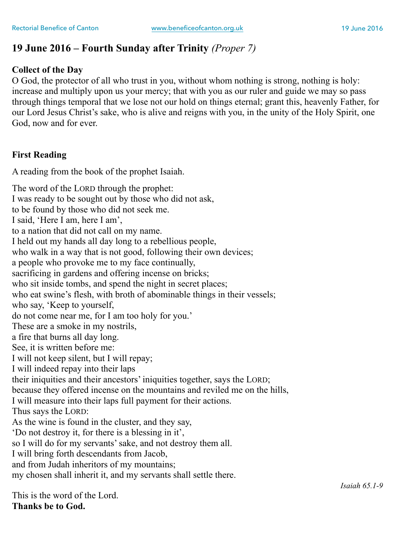### **19 June 2016 – Fourth Sunday after Trinity** *(Proper 7)*

#### **Collect of the Day**

O God, the protector of all who trust in you, without whom nothing is strong, nothing is holy: increase and multiply upon us your mercy; that with you as our ruler and guide we may so pass through things temporal that we lose not our hold on things eternal; grant this, heavenly Father, for our Lord Jesus Christ's sake, who is alive and reigns with you, in the unity of the Holy Spirit, one God, now and for ever.

#### **First Reading**

A reading from the book of the prophet Isaiah.

The word of the LORD through the prophet: I was ready to be sought out by those who did not ask, to be found by those who did not seek me. I said, 'Here I am, here I am', to a nation that did not call on my name. I held out my hands all day long to a rebellious people, who walk in a way that is not good, following their own devices; a people who provoke me to my face continually, sacrificing in gardens and offering incense on bricks; who sit inside tombs, and spend the night in secret places; who eat swine's flesh, with broth of abominable things in their vessels; who say, 'Keep to yourself, do not come near me, for I am too holy for you.' These are a smoke in my nostrils, a fire that burns all day long. See, it is written before me: I will not keep silent, but I will repay; I will indeed repay into their laps their iniquities and their ancestors' iniquities together, says the LORD; because they offered incense on the mountains and reviled me on the hills, I will measure into their laps full payment for their actions. Thus says the LORD: As the wine is found in the cluster, and they say, 'Do not destroy it, for there is a blessing in it', so I will do for my servants' sake, and not destroy them all. I will bring forth descendants from Jacob, and from Judah inheritors of my mountains; my chosen shall inherit it, and my servants shall settle there.

This is the word of the Lord. **Thanks be to God.** 

*Isaiah 65.1-9*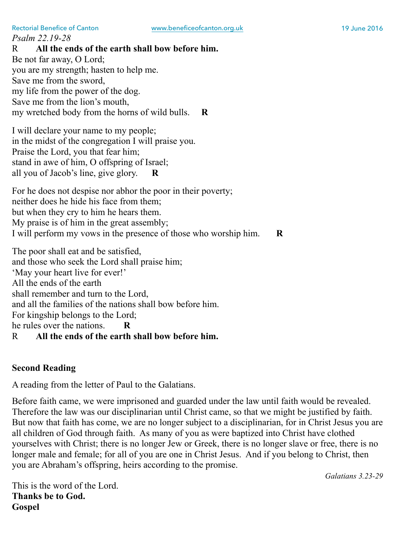*Psalm 22.19-28* 

R **All the ends of the earth shall bow before him.**  Be not far away, O Lord; you are my strength; hasten to help me. Save me from the sword, my life from the power of the dog. Save me from the lion's mouth, my wretched body from the horns of wild bulls. **R**

I will declare your name to my people; in the midst of the congregation I will praise you. Praise the Lord, you that fear him; stand in awe of him, O offspring of Israel; all you of Jacob's line, give glory. **R**

For he does not despise nor abhor the poor in their poverty; neither does he hide his face from them; but when they cry to him he hears them. My praise is of him in the great assembly; I will perform my vows in the presence of those who worship him. **R** 

The poor shall eat and be satisfied, and those who seek the Lord shall praise him; 'May your heart live for ever!' All the ends of the earth shall remember and turn to the Lord, and all the families of the nations shall bow before him. For kingship belongs to the Lord; he rules over the nations. **R**  R **All the ends of the earth shall bow before him.** 

#### **Second Reading**

A reading from the letter of Paul to the Galatians.

Before faith came, we were imprisoned and guarded under the law until faith would be revealed. Therefore the law was our disciplinarian until Christ came, so that we might be justified by faith. But now that faith has come, we are no longer subject to a disciplinarian, for in Christ Jesus you are all children of God through faith. As many of you as were baptized into Christ have clothed yourselves with Christ; there is no longer Jew or Greek, there is no longer slave or free, there is no longer male and female; for all of you are one in Christ Jesus. And if you belong to Christ, then you are Abraham's offspring, heirs according to the promise.

*Galatians 3.23-29* 

This is the word of the Lord. **Thanks be to God. Gospel**